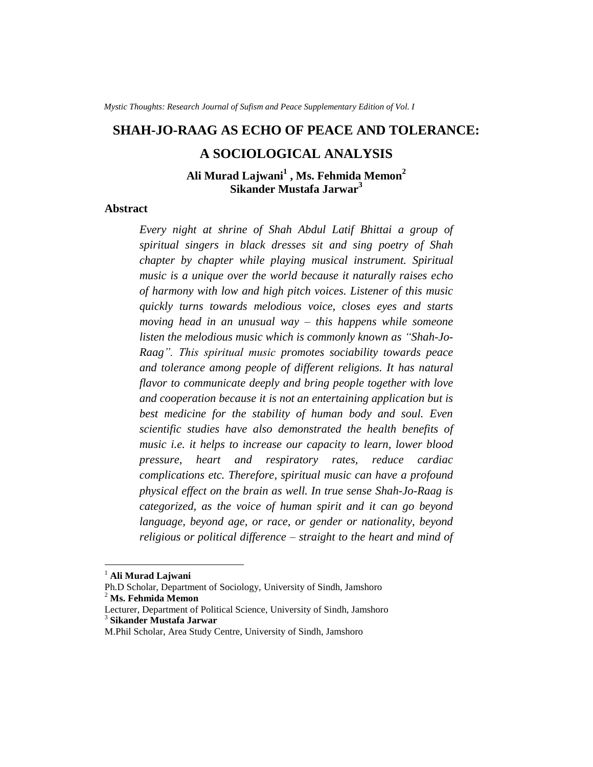*Mystic Thoughts: Research Journal of Sufism and Peace Supplementary Edition of Vol. I* 

# **SHAH-JO-RAAG AS ECHO OF PEACE AND TOLERANCE:**

# **A SOCIOLOGICAL ANALYSIS**

**Ali Murad Lajwani<sup>1</sup> , Ms. Fehmida Memon<sup>2</sup> Sikander Mustafa Jarwar<sup>3</sup>**

# **Abstract**

*Every night at shrine of Shah Abdul Latif Bhittai a group of spiritual singers in black dresses sit and sing poetry of Shah chapter by chapter while playing musical instrument. Spiritual music is a unique over the world because it naturally raises echo of harmony with low and high pitch voices. Listener of this music quickly turns towards melodious voice, closes eyes and starts moving head in an unusual way – this happens while someone listen the melodious music which is commonly known as "Shah-Jo-Raag". This spiritual music promotes sociability towards peace and tolerance among people of different religions. It has natural flavor to communicate deeply and bring people together with love and cooperation because it is not an entertaining application but is best medicine for the stability of human body and soul. Even scientific studies have also demonstrated the health benefits of music i.e. it helps to increase our capacity to learn, lower blood pressure, heart and respiratory rates, reduce cardiac complications etc. Therefore, spiritual music can have a profound physical effect on the brain as well. In true sense Shah-Jo-Raag is categorized, as the voice of human spirit and it can go beyond language, beyond age, or race, or gender or nationality, beyond religious or political difference – straight to the heart and mind of* 

 $\overline{a}$ 

<sup>1</sup> **Ali Murad Lajwani**

Ph.D Scholar, Department of Sociology, University of Sindh, Jamshoro <sup>2</sup> **Ms. Fehmida Memon**

Lecturer, Department of Political Science, University of Sindh, Jamshoro 3 **Sikander Mustafa Jarwar**

M.Phil Scholar, Area Study Centre, University of Sindh, Jamshoro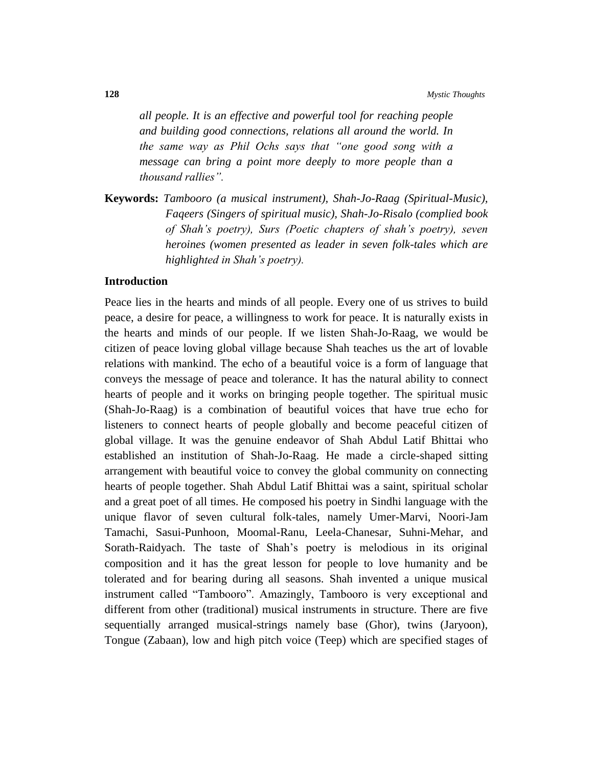*all people. It is an effective and powerful tool for reaching people and building good connections, relations all around the world. In the same way as Phil Ochs says that "one good song with a message can bring a point more deeply to more people than a thousand rallies".*

**Keywords:** *Tambooro (a musical instrument), Shah-Jo-Raag (Spiritual-Music), Faqeers (Singers of spiritual music), Shah-Jo-Risalo (complied book of Shah's poetry), Surs (Poetic chapters of shah's poetry), seven heroines (women presented as leader in seven folk-tales which are highlighted in Shah's poetry).* 

#### **Introduction**

Peace lies in the hearts and minds of all people. Every one of us strives to build peace, a desire for peace, a willingness to work for peace. It is naturally exists in the hearts and minds of our people. If we listen Shah-Jo-Raag, we would be citizen of peace loving global village because Shah teaches us the art of lovable relations with mankind. The echo of a beautiful voice is a form of language that conveys the message of peace and tolerance. It has the natural ability to connect hearts of people and it works on bringing people together. The spiritual music (Shah-Jo-Raag) is a combination of beautiful voices that have true echo for listeners to connect hearts of people globally and become peaceful citizen of global village. It was the genuine endeavor of Shah Abdul Latif Bhittai who established an institution of Shah-Jo-Raag. He made a circle-shaped sitting arrangement with beautiful voice to convey the global community on connecting hearts of people together. Shah Abdul Latif Bhittai was a saint, spiritual scholar and a great poet of all times. He composed his poetry in Sindhi language with the unique flavor of seven cultural folk-tales, namely Umer-Marvi, Noori-Jam Tamachi, Sasui-Punhoon, Moomal-Ranu, Leela-Chanesar, Suhni-Mehar, and Sorath-Raidyach. The taste of Shah's poetry is melodious in its original composition and it has the great lesson for people to love humanity and be tolerated and for bearing during all seasons. Shah invented a unique musical instrument called "Tambooro". Amazingly, Tambooro is very exceptional and different from other (traditional) musical instruments in structure. There are five sequentially arranged musical-strings namely base (Ghor), twins (Jaryoon), Tongue (Zabaan), low and high pitch voice (Teep) which are specified stages of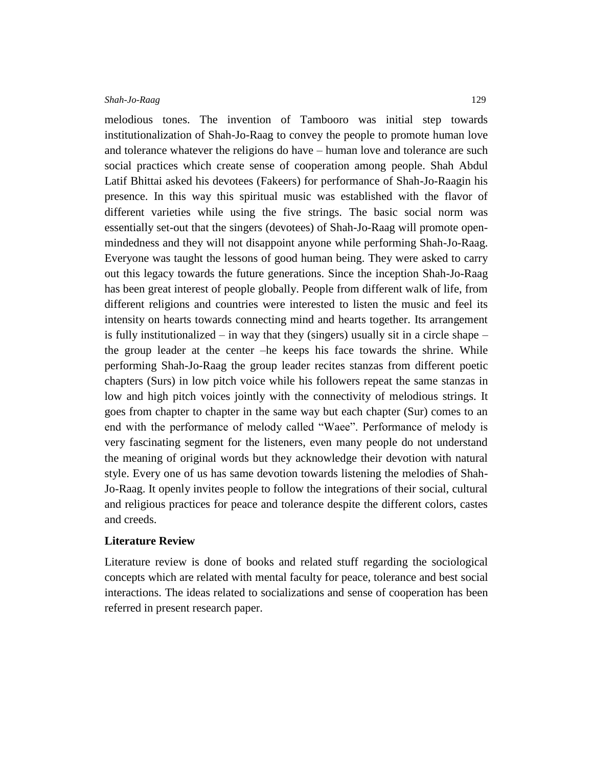melodious tones. The invention of Tambooro was initial step towards institutionalization of Shah-Jo-Raag to convey the people to promote human love and tolerance whatever the religions do have – human love and tolerance are such social practices which create sense of cooperation among people. Shah Abdul Latif Bhittai asked his devotees (Fakeers) for performance of Shah-Jo-Raagin his presence. In this way this spiritual music was established with the flavor of different varieties while using the five strings. The basic social norm was essentially set-out that the singers (devotees) of Shah-Jo-Raag will promote openmindedness and they will not disappoint anyone while performing Shah-Jo-Raag. Everyone was taught the lessons of good human being. They were asked to carry out this legacy towards the future generations. Since the inception Shah-Jo-Raag has been great interest of people globally. People from different walk of life, from different religions and countries were interested to listen the music and feel its intensity on hearts towards connecting mind and hearts together. Its arrangement is fully institutionalized – in way that they (singers) usually sit in a circle shape – the group leader at the center –he keeps his face towards the shrine. While performing Shah-Jo-Raag the group leader recites stanzas from different poetic chapters (Surs) in low pitch voice while his followers repeat the same stanzas in low and high pitch voices jointly with the connectivity of melodious strings. It goes from chapter to chapter in the same way but each chapter (Sur) comes to an end with the performance of melody called "Waee". Performance of melody is very fascinating segment for the listeners, even many people do not understand the meaning of original words but they acknowledge their devotion with natural style. Every one of us has same devotion towards listening the melodies of Shah-Jo-Raag. It openly invites people to follow the integrations of their social, cultural and religious practices for peace and tolerance despite the different colors, castes and creeds.

# **Literature Review**

Literature review is done of books and related stuff regarding the sociological concepts which are related with mental faculty for peace, tolerance and best social interactions. The ideas related to socializations and sense of cooperation has been referred in present research paper.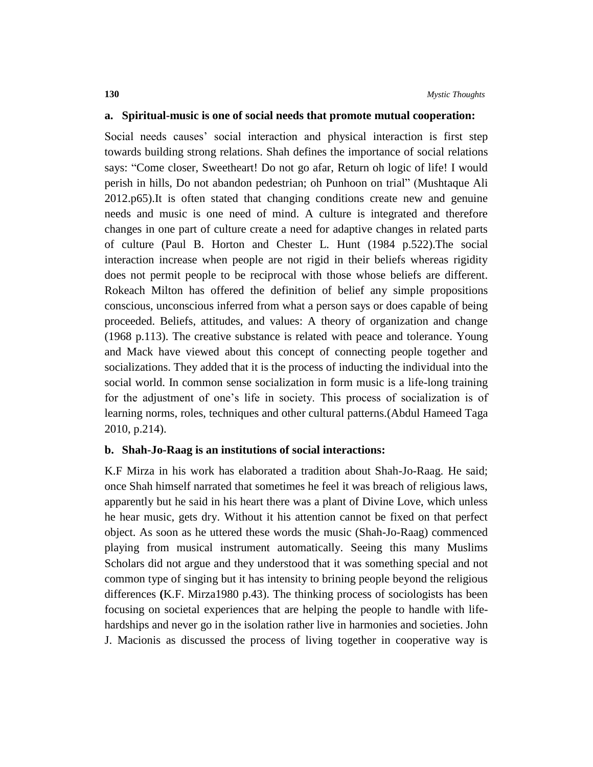#### **a. Spiritual-music is one of social needs that promote mutual cooperation:**

Social needs causes' social interaction and physical interaction is first step towards building strong relations. Shah defines the importance of social relations says: "Come closer, Sweetheart! Do not go afar, Return oh logic of life! I would perish in hills, Do not abandon pedestrian; oh Punhoon on trial" (Mushtaque Ali 2012.p65).It is often stated that changing conditions create new and genuine needs and music is one need of mind. A culture is integrated and therefore changes in one part of culture create a need for adaptive changes in related parts of culture (Paul B. Horton and Chester L. Hunt (1984 p.522).The social interaction increase when people are not rigid in their beliefs whereas rigidity does not permit people to be reciprocal with those whose beliefs are different. Rokeach Milton has offered the definition of belief any simple propositions conscious, unconscious inferred from what a person says or does capable of being proceeded. Beliefs, attitudes, and values: A theory of organization and change (1968 p.113). The creative substance is related with peace and tolerance. Young and Mack have viewed about this concept of connecting people together and socializations. They added that it is the process of inducting the individual into the social world. In common sense socialization in form music is a life-long training for the adjustment of one's life in society. This process of socialization is of learning norms, roles, techniques and other cultural patterns.(Abdul Hameed Taga 2010, p.214).

#### **b. Shah-Jo-Raag is an institutions of social interactions:**

K.F Mirza in his work has elaborated a tradition about Shah-Jo-Raag. He said; once Shah himself narrated that sometimes he feel it was breach of religious laws, apparently but he said in his heart there was a plant of Divine Love, which unless he hear music, gets dry. Without it his attention cannot be fixed on that perfect object. As soon as he uttered these words the music (Shah-Jo-Raag) commenced playing from musical instrument automatically. Seeing this many Muslims Scholars did not argue and they understood that it was something special and not common type of singing but it has intensity to brining people beyond the religious differences **(**K.F. Mirza1980 p.43). The thinking process of sociologists has been focusing on societal experiences that are helping the people to handle with lifehardships and never go in the isolation rather live in harmonies and societies. John J. Macionis as discussed the process of living together in cooperative way is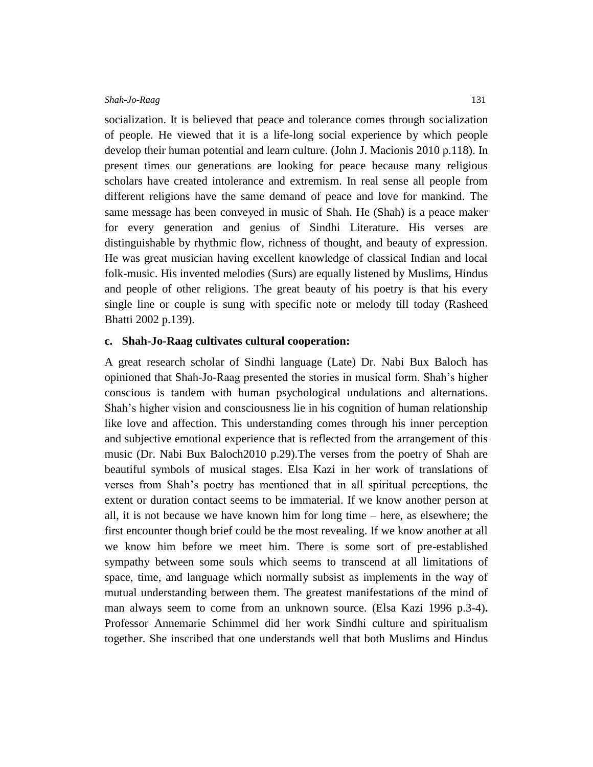socialization. It is believed that peace and tolerance comes through socialization of people. He viewed that it is a life-long social experience by which people develop their human potential and learn culture. (John J. Macionis 2010 p.118). In present times our generations are looking for peace because many religious scholars have created intolerance and extremism. In real sense all people from different religions have the same demand of peace and love for mankind. The same message has been conveyed in music of Shah. He (Shah) is a peace maker for every generation and genius of Sindhi Literature. His verses are distinguishable by rhythmic flow, richness of thought, and beauty of expression. He was great musician having excellent knowledge of classical Indian and local folk-music. His invented melodies (Surs) are equally listened by Muslims, Hindus and people of other religions. The great beauty of his poetry is that his every single line or couple is sung with specific note or melody till today (Rasheed Bhatti 2002 p.139).

# **c. Shah-Jo-Raag cultivates cultural cooperation:**

A great research scholar of Sindhi language (Late) Dr. Nabi Bux Baloch has opinioned that Shah-Jo-Raag presented the stories in musical form. Shah's higher conscious is tandem with human psychological undulations and alternations. Shah's higher vision and consciousness lie in his cognition of human relationship like love and affection. This understanding comes through his inner perception and subjective emotional experience that is reflected from the arrangement of this music (Dr. Nabi Bux Baloch2010 p.29).The verses from the poetry of Shah are beautiful symbols of musical stages. Elsa Kazi in her work of translations of verses from Shah's poetry has mentioned that in all spiritual perceptions, the extent or duration contact seems to be immaterial. If we know another person at all, it is not because we have known him for long time – here, as elsewhere; the first encounter though brief could be the most revealing. If we know another at all we know him before we meet him. There is some sort of pre-established sympathy between some souls which seems to transcend at all limitations of space, time, and language which normally subsist as implements in the way of mutual understanding between them. The greatest manifestations of the mind of man always seem to come from an unknown source. (Elsa Kazi 1996 p.3-4)**.** Professor Annemarie Schimmel did her work Sindhi culture and spiritualism together. She inscribed that one understands well that both Muslims and Hindus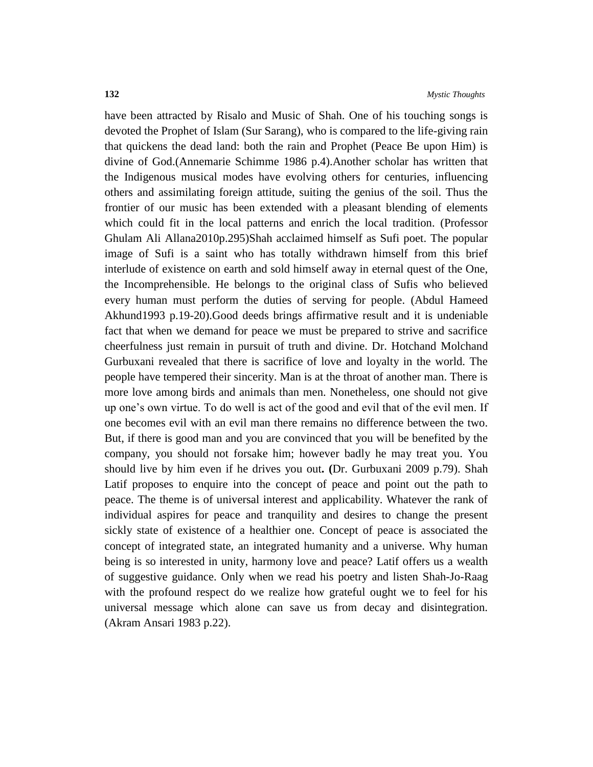have been attracted by Risalo and Music of Shah. One of his touching songs is devoted the Prophet of Islam (Sur Sarang), who is compared to the life-giving rain that quickens the dead land: both the rain and Prophet (Peace Be upon Him) is divine of God.(Annemarie Schimme 1986 p.4).Another scholar has written that the Indigenous musical modes have evolving others for centuries, influencing others and assimilating foreign attitude, suiting the genius of the soil. Thus the frontier of our music has been extended with a pleasant blending of elements which could fit in the local patterns and enrich the local tradition. (Professor Ghulam Ali Allana2010p.295)Shah acclaimed himself as Sufi poet. The popular image of Sufi is a saint who has totally withdrawn himself from this brief interlude of existence on earth and sold himself away in eternal quest of the One, the Incomprehensible. He belongs to the original class of Sufis who believed every human must perform the duties of serving for people. (Abdul Hameed Akhund1993 p.19-20).Good deeds brings affirmative result and it is undeniable fact that when we demand for peace we must be prepared to strive and sacrifice cheerfulness just remain in pursuit of truth and divine. Dr. Hotchand Molchand Gurbuxani revealed that there is sacrifice of love and loyalty in the world. The people have tempered their sincerity. Man is at the throat of another man. There is more love among birds and animals than men. Nonetheless, one should not give up one's own virtue. To do well is act of the good and evil that of the evil men. If one becomes evil with an evil man there remains no difference between the two. But, if there is good man and you are convinced that you will be benefited by the company, you should not forsake him; however badly he may treat you. You should live by him even if he drives you out**. (**Dr. Gurbuxani 2009 p.79). Shah Latif proposes to enquire into the concept of peace and point out the path to peace. The theme is of universal interest and applicability. Whatever the rank of individual aspires for peace and tranquility and desires to change the present sickly state of existence of a healthier one. Concept of peace is associated the concept of integrated state, an integrated humanity and a universe. Why human being is so interested in unity, harmony love and peace? Latif offers us a wealth of suggestive guidance. Only when we read his poetry and listen Shah-Jo-Raag with the profound respect do we realize how grateful ought we to feel for his universal message which alone can save us from decay and disintegration. (Akram Ansari 1983 p.22).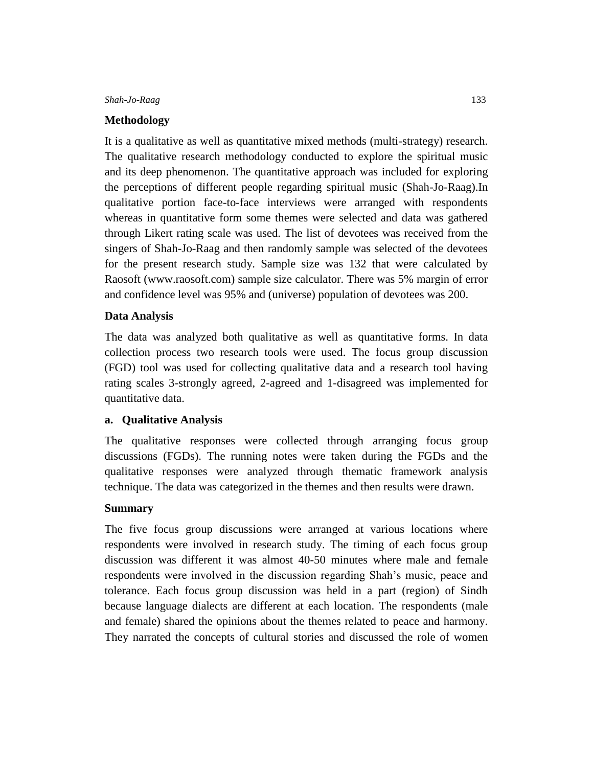# **Methodology**

It is a qualitative as well as quantitative mixed methods (multi-strategy) research. The qualitative research methodology conducted to explore the spiritual music and its deep phenomenon. The quantitative approach was included for exploring the perceptions of different people regarding spiritual music (Shah-Jo-Raag).In qualitative portion face-to-face interviews were arranged with respondents whereas in quantitative form some themes were selected and data was gathered through Likert rating scale was used. The list of devotees was received from the singers of Shah-Jo-Raag and then randomly sample was selected of the devotees for the present research study. Sample size was 132 that were calculated by Raosoft (www.raosoft.com) sample size calculator. There was 5% margin of error and confidence level was 95% and (universe) population of devotees was 200.

# **Data Analysis**

The data was analyzed both qualitative as well as quantitative forms. In data collection process two research tools were used. The focus group discussion (FGD) tool was used for collecting qualitative data and a research tool having rating scales 3-strongly agreed, 2-agreed and 1-disagreed was implemented for quantitative data.

# **a. Qualitative Analysis**

The qualitative responses were collected through arranging focus group discussions (FGDs). The running notes were taken during the FGDs and the qualitative responses were analyzed through thematic framework analysis technique. The data was categorized in the themes and then results were drawn.

# **Summary**

The five focus group discussions were arranged at various locations where respondents were involved in research study. The timing of each focus group discussion was different it was almost 40-50 minutes where male and female respondents were involved in the discussion regarding Shah's music, peace and tolerance. Each focus group discussion was held in a part (region) of Sindh because language dialects are different at each location. The respondents (male and female) shared the opinions about the themes related to peace and harmony. They narrated the concepts of cultural stories and discussed the role of women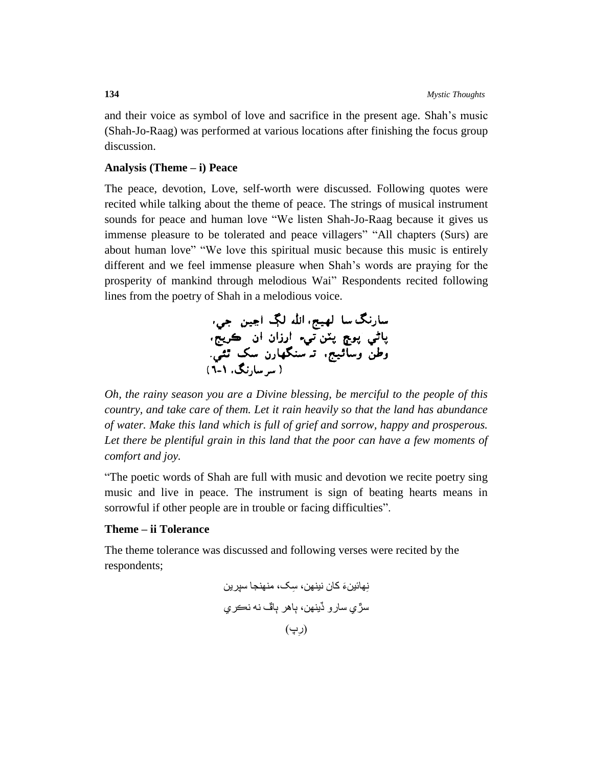and their voice as symbol of love and sacrifice in the present age. Shah's music (Shah-Jo-Raag) was performed at various locations after finishing the focus group discussion.

#### **Analysis (Theme – i) Peace**

The peace, devotion, Love, self-worth were discussed. Following quotes were recited while talking about the theme of peace. The strings of musical instrument sounds for peace and human love "We listen Shah-Jo-Raag because it gives us immense pleasure to be tolerated and peace villagers" "All chapters (Surs) are about human love" "We love this spiritual music because this music is entirely different and we feel immense pleasure when Shah's words are praying for the prosperity of mankind through melodious Wai" Respondents recited following lines from the poetry of Shah in a melodious voice.



*Oh, the rainy season you are a Divine blessing, be merciful to the people of this country, and take care of them. Let it rain heavily so that the land has abundance of water. Make this land which is full of grief and sorrow, happy and prosperous.*  Let there be plentiful grain in this land that the poor can have a few moments of *comfort and joy.*

"The poetic words of Shah are full with music and devotion we recite poetry sing music and live in peace. The instrument is sign of beating hearts means in sorrowful if other people are in trouble or facing difficulties".

# **Theme – ii Tolerance**

The theme tolerance was discussed and following verses were recited by the respondents;

نِهائين َء کان نينهن، ِسک، منهنجا سپرين سڙي سارو ڏينهن، ٻاهر ٻاڦ نه نڪري ِپ( )ر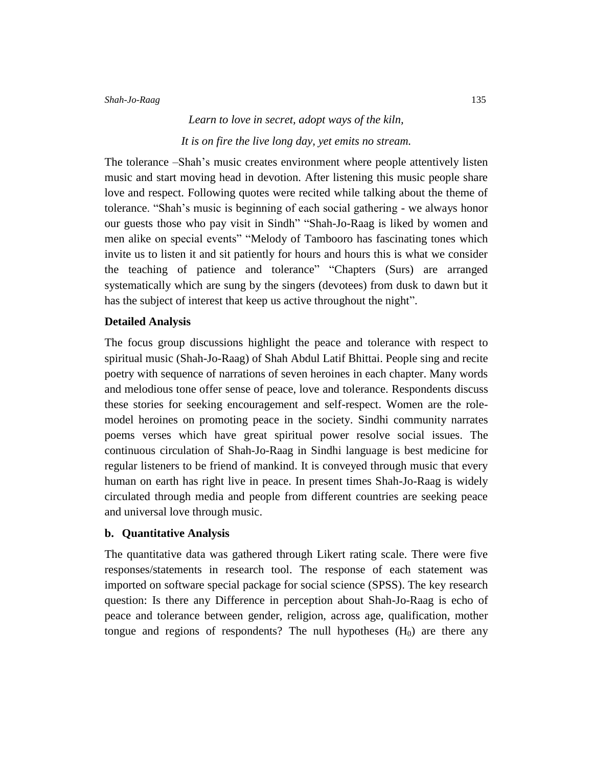# *Learn to love in secret, adopt ways of the kiln, It is on fire the live long day, yet emits no stream.*

The tolerance –Shah's music creates environment where people attentively listen music and start moving head in devotion. After listening this music people share love and respect. Following quotes were recited while talking about the theme of tolerance. "Shah's music is beginning of each social gathering - we always honor our guests those who pay visit in Sindh" "Shah-Jo-Raag is liked by women and men alike on special events" "Melody of Tambooro has fascinating tones which invite us to listen it and sit patiently for hours and hours this is what we consider the teaching of patience and tolerance" "Chapters (Surs) are arranged systematically which are sung by the singers (devotees) from dusk to dawn but it has the subject of interest that keep us active throughout the night".

# **Detailed Analysis**

The focus group discussions highlight the peace and tolerance with respect to spiritual music (Shah-Jo-Raag) of Shah Abdul Latif Bhittai. People sing and recite poetry with sequence of narrations of seven heroines in each chapter. Many words and melodious tone offer sense of peace, love and tolerance. Respondents discuss these stories for seeking encouragement and self-respect. Women are the rolemodel heroines on promoting peace in the society. Sindhi community narrates poems verses which have great spiritual power resolve social issues. The continuous circulation of Shah-Jo-Raag in Sindhi language is best medicine for regular listeners to be friend of mankind. It is conveyed through music that every human on earth has right live in peace. In present times Shah-Jo-Raag is widely circulated through media and people from different countries are seeking peace and universal love through music.

## **b. Quantitative Analysis**

The quantitative data was gathered through Likert rating scale. There were five responses/statements in research tool. The response of each statement was imported on software special package for social science (SPSS). The key research question: Is there any Difference in perception about Shah-Jo-Raag is echo of peace and tolerance between gender, religion, across age, qualification, mother tongue and regions of respondents? The null hypotheses  $(H_0)$  are there any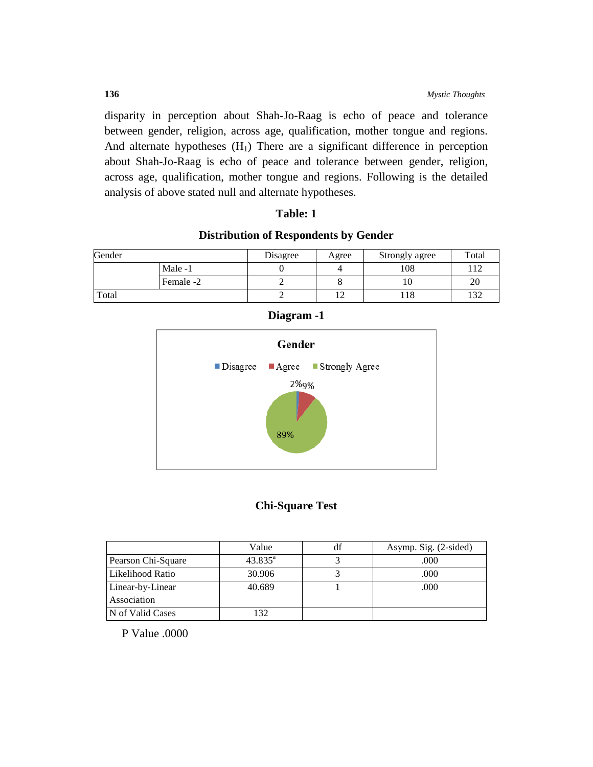disparity in perception about Shah-Jo-Raag is echo of peace and tolerance between gender, religion, across age, qualification, mother tongue and regions. And alternate hypotheses  $(H_1)$  There are a significant difference in perception about Shah-Jo-Raag is echo of peace and tolerance between gender, religion, across age, qualification, mother tongue and regions. Following is the detailed analysis of above stated null and alternate hypotheses.

# **Table: 1**

# **Distribution of Respondents by Gender**

| Gender |           | Disagree | Agree | Strongly agree | Total |
|--------|-----------|----------|-------|----------------|-------|
|        | Male -1   |          |       | 108            | 112   |
|        | Female -2 |          |       | .U             | 20    |
| Total  |           | -        |       | l 18           | 132   |



# **Diagram -1**

# **Chi-Square Test**

|                    | Value            | Asymp. Sig. (2-sided) |
|--------------------|------------------|-----------------------|
| Pearson Chi-Square | $43.835^{\circ}$ | .000                  |
| Likelihood Ratio   | 30.906           | .000                  |
| Linear-by-Linear   | 40.689           | .000                  |
| Association        |                  |                       |
| N of Valid Cases   | 32               |                       |

P Value .0000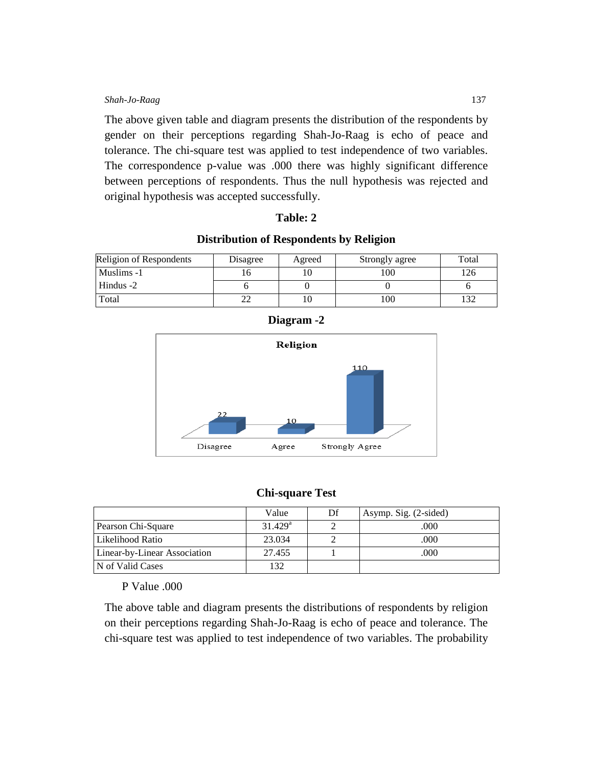The above given table and diagram presents the distribution of the respondents by gender on their perceptions regarding Shah-Jo-Raag is echo of peace and tolerance. The chi-square test was applied to test independence of two variables. The correspondence p-value was .000 there was highly significant difference between perceptions of respondents. Thus the null hypothesis was rejected and original hypothesis was accepted successfully.

## **Table: 2**

## **Distribution of Respondents by Religion**

| Religion of Respondents | Disagree | Agreed | Strongly agree | Total |
|-------------------------|----------|--------|----------------|-------|
| Muslims -1              |          |        | 100            | 26    |
| Hindus -2               |          |        |                |       |
| Total                   |          |        | 100            |       |





# **Chi-square Test**

|                              | Value            | Df | Asymp. Sig. (2-sided) |
|------------------------------|------------------|----|-----------------------|
| Pearson Chi-Square           | $31.429^{\rm a}$ |    | .000                  |
| l Likelihood Ratio           | 23.034           |    | .000                  |
| Linear-by-Linear Association | 27.455           |    | .000                  |
| N of Valid Cases             | 132              |    |                       |

# P Value .000

The above table and diagram presents the distributions of respondents by religion on their perceptions regarding Shah-Jo-Raag is echo of peace and tolerance. The chi-square test was applied to test independence of two variables. The probability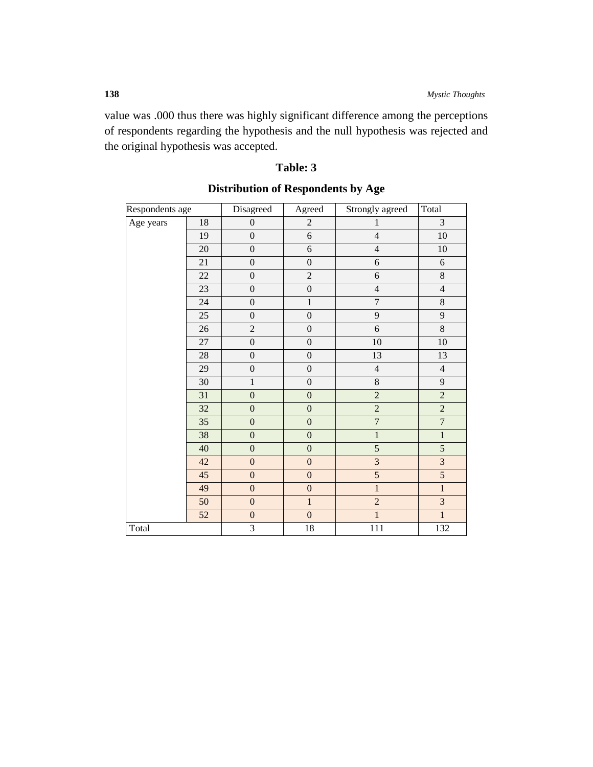value was .000 thus there was highly significant difference among the perceptions of respondents regarding the hypothesis and the null hypothesis was rejected and the original hypothesis was accepted.

| Respondents age |                 | Disagreed        | Agreed           | Strongly agreed  | Total              |
|-----------------|-----------------|------------------|------------------|------------------|--------------------|
| Age years       | $18\,$          | $\boldsymbol{0}$ | $\sqrt{2}$       | $\mathbf{1}$     | $\overline{3}$     |
|                 | 19              | $\overline{0}$   | $\overline{6}$   | $\overline{4}$   | $10\,$             |
|                 | 20              | $\boldsymbol{0}$ | $\overline{6}$   | $\overline{4}$   | $10\,$             |
|                 | 21              | $\boldsymbol{0}$ | $\boldsymbol{0}$ | $\boldsymbol{6}$ | 6                  |
|                 | 22              | $\boldsymbol{0}$ | $\overline{2}$   | $\boldsymbol{6}$ | $\overline{\bf 8}$ |
|                 | 23              | $\boldsymbol{0}$ | $\boldsymbol{0}$ | $\overline{4}$   | $\overline{4}$     |
|                 | $24\,$          | $\boldsymbol{0}$ | $\,1$            | $\boldsymbol{7}$ | $\,8\,$            |
|                 | 25              | $\overline{0}$   | $\boldsymbol{0}$ | 9                | $\overline{9}$     |
|                 | 26              | $\overline{c}$   | $\boldsymbol{0}$ | 6                | $\,8\,$            |
|                 | 27              | $\boldsymbol{0}$ | $\boldsymbol{0}$ | 10               | 10                 |
|                 | 28              | $\boldsymbol{0}$ | $\boldsymbol{0}$ | 13               | 13                 |
|                 | 29              | $\boldsymbol{0}$ | $\boldsymbol{0}$ | $\overline{4}$   | $\overline{4}$     |
|                 | 30              | $\,1$            | $\boldsymbol{0}$ | $8\,$            | 9                  |
|                 | 31              | $\boldsymbol{0}$ | $\boldsymbol{0}$ | $\overline{2}$   | $\overline{2}$     |
|                 | 32              | $\boldsymbol{0}$ | $\mathbf{0}$     | $\overline{2}$   | $\overline{2}$     |
|                 | 35              | $\boldsymbol{0}$ | $\boldsymbol{0}$ | $\overline{7}$   | $\overline{7}$     |
|                 | 38              | $\boldsymbol{0}$ | $\boldsymbol{0}$ | $\mathbf{1}$     | $\overline{1}$     |
|                 | 40              | $\boldsymbol{0}$ | $\boldsymbol{0}$ | 5                | $\overline{5}$     |
|                 | 42              | $\overline{0}$   | $\boldsymbol{0}$ | $\overline{3}$   | $\overline{3}$     |
|                 | $\overline{45}$ | $\overline{0}$   | $\overline{0}$   | $\overline{5}$   | 5                  |
|                 | 49              | $\mathbf{0}$     | $\overline{0}$   | $\overline{1}$   | $\overline{1}$     |
|                 | 50              | $\boldsymbol{0}$ | $\mathbf{1}$     | $\overline{2}$   | $\overline{3}$     |
|                 | 52              | $\boldsymbol{0}$ | $\boldsymbol{0}$ | $\overline{1}$   | $\overline{1}$     |
| Total           |                 | $\overline{3}$   | 18               | $\overline{111}$ | 132                |

# **Table: 3**

# **Distribution of Respondents by Age**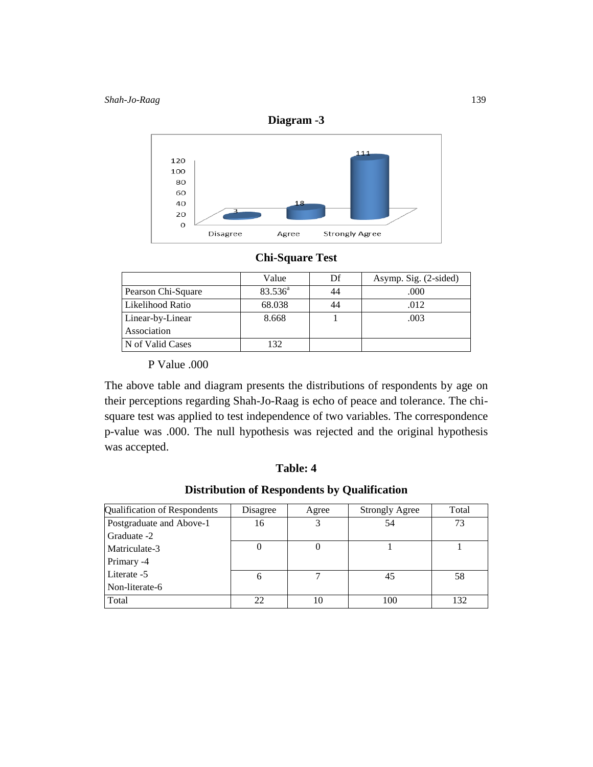

# **Chi-Square Test**

|                    | Value      | Df | Asymp. Sig. (2-sided) |
|--------------------|------------|----|-----------------------|
| Pearson Chi-Square | $83.536^a$ | 44 | .000                  |
| Likelihood Ratio   | 68.038     | 44 | .012                  |
| Linear-by-Linear   | 8.668      |    | .003                  |
| Association        |            |    |                       |
| N of Valid Cases   | 132        |    |                       |

P Value .000

The above table and diagram presents the distributions of respondents by age on their perceptions regarding Shah-Jo-Raag is echo of peace and tolerance. The chisquare test was applied to test independence of two variables. The correspondence p-value was .000. The null hypothesis was rejected and the original hypothesis was accepted.

#### **Table: 4**

# **Distribution of Respondents by Qualification**

| Qualification of Respondents | Disagree | Agree | <b>Strongly Agree</b> | Total |
|------------------------------|----------|-------|-----------------------|-------|
| Postgraduate and Above-1     | 16       |       | 54                    | 73    |
| Graduate -2                  |          |       |                       |       |
| Matriculate-3                |          |       |                       |       |
| Primary -4                   |          |       |                       |       |
| Literate -5                  | 6        |       | 45                    | 58    |
| Non-literate-6               |          |       |                       |       |
| Total                        | 22       | 10    | 100                   | 132   |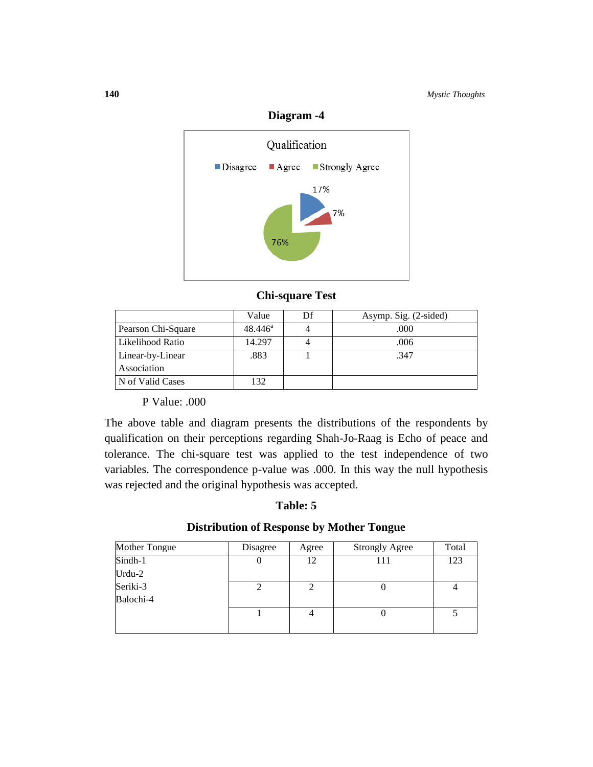

# **Diagram -4**

# **Chi-square Test**

|                    | Value            | Df | Asymp. Sig. (2-sided) |
|--------------------|------------------|----|-----------------------|
| Pearson Chi-Square | $48.446^{\circ}$ |    | .000                  |
| Likelihood Ratio   | 14.297           |    | .006                  |
| Linear-by-Linear   | .883             |    | .347                  |
| Association        |                  |    |                       |
| N of Valid Cases   | 132              |    |                       |

P Value: .000

The above table and diagram presents the distributions of the respondents by qualification on their perceptions regarding Shah-Jo-Raag is Echo of peace and tolerance. The chi-square test was applied to the test independence of two variables. The correspondence p-value was .000. In this way the null hypothesis was rejected and the original hypothesis was accepted.

# **Table: 5**

# **Distribution of Response by Mother Tongue**

| Mother Tongue | Disagree | Agree | <b>Strongly Agree</b> | Total |
|---------------|----------|-------|-----------------------|-------|
| Sindh-1       | U        | 12    |                       | 123   |
| Urdu-2        |          |       |                       |       |
| Seriki-3      | 2        |       |                       |       |
| Balochi-4     |          |       |                       |       |
|               |          |       |                       |       |
|               |          |       |                       |       |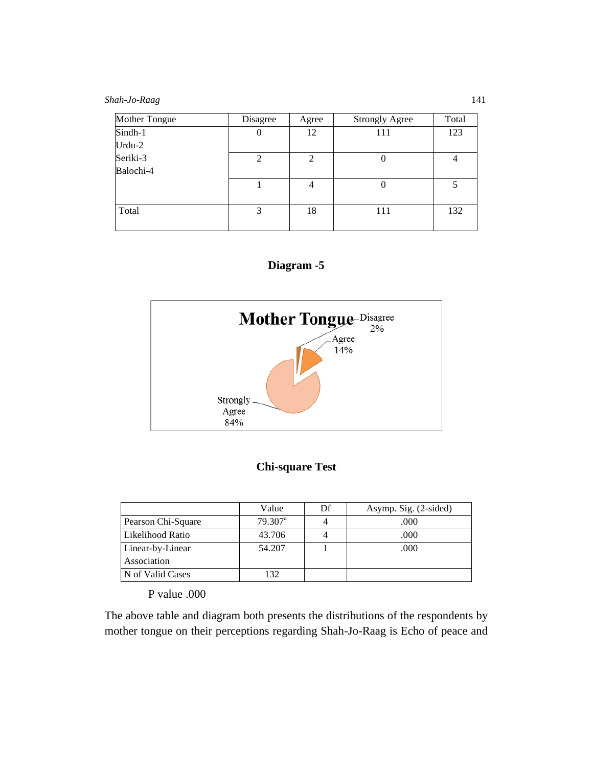*Shah-Jo-Raag* 141

| Mother Tongue | Disagree                    | Agree          | <b>Strongly Agree</b> | Total |
|---------------|-----------------------------|----------------|-----------------------|-------|
| Sindh-1       |                             | 12             | 111                   | 123   |
| Urdu-2        |                             |                |                       |       |
| Seriki-3      | $\mathcal{D}_{\mathcal{L}}$ | $\overline{c}$ |                       | 4     |
| Balochi-4     |                             |                |                       |       |
|               |                             | 4              |                       | 5     |
|               |                             |                |                       |       |
| Total         | 3                           | 18             | 111                   | 132   |
|               |                             |                |                       |       |





# **Chi-square Test**

|                    | Value               | Df | Asymp. Sig. (2-sided) |
|--------------------|---------------------|----|-----------------------|
| Pearson Chi-Square | $79.307^{\text{a}}$ |    | .000                  |
| Likelihood Ratio   | 43.706              |    | .000                  |
| Linear-by-Linear   | 54.207              |    | .000                  |
| Association        |                     |    |                       |
| N of Valid Cases   | 132                 |    |                       |

P value .000

The above table and diagram both presents the distributions of the respondents by mother tongue on their perceptions regarding Shah-Jo-Raag is Echo of peace and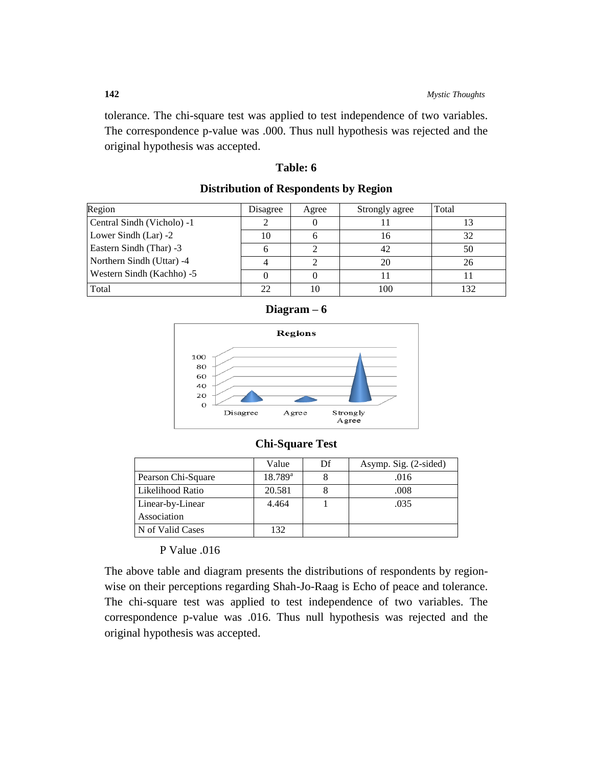tolerance. The chi-square test was applied to test independence of two variables. The correspondence p-value was .000. Thus null hypothesis was rejected and the original hypothesis was accepted.

# **Table: 6**

| Region                     | Disagree | Agree | Strongly agree | Total |
|----------------------------|----------|-------|----------------|-------|
| Central Sindh (Vicholo) -1 |          |       |                |       |
| Lower Sindh $(Lar) -2$     | 10       |       |                | 32    |
| Eastern Sindh (Thar) -3    |          |       | 42             | 50    |
| Northern Sindh (Uttar) -4  |          |       | 20             | 26    |
| Western Sindh (Kachho) -5  |          |       |                |       |
| Total                      | 22       | 10    | 100            | 132   |

## **Distribution of Respondents by Region**





## **Chi-Square Test**

|                    | Value            | Df | Asymp. Sig. (2-sided) |
|--------------------|------------------|----|-----------------------|
| Pearson Chi-Square | $18.789^{\rm a}$ |    | .016                  |
| Likelihood Ratio   | 20.581           |    | .008                  |
| Linear-by-Linear   | 4.464            |    | .035                  |
| Association        |                  |    |                       |
| N of Valid Cases   | 132              |    |                       |

P Value .016

The above table and diagram presents the distributions of respondents by regionwise on their perceptions regarding Shah-Jo-Raag is Echo of peace and tolerance. The chi-square test was applied to test independence of two variables. The correspondence p-value was .016. Thus null hypothesis was rejected and the original hypothesis was accepted.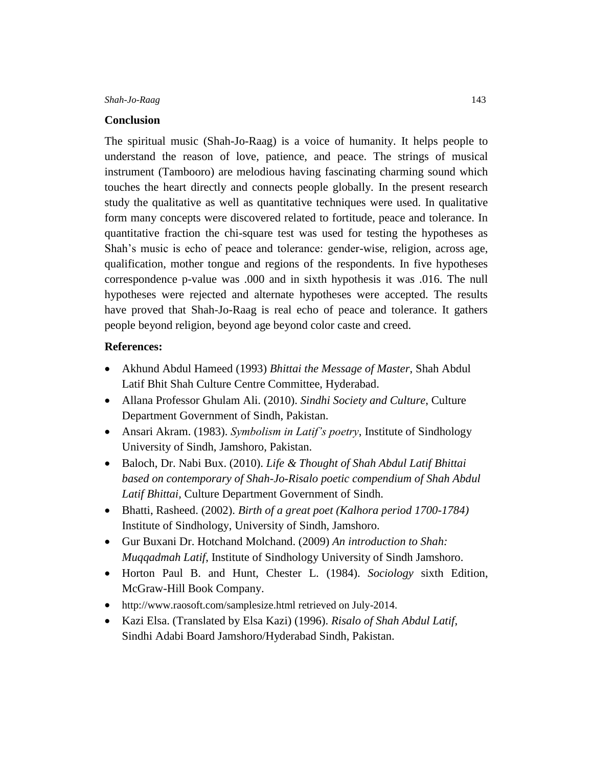#### **Conclusion**

The spiritual music (Shah-Jo-Raag) is a voice of humanity. It helps people to understand the reason of love, patience, and peace. The strings of musical instrument (Tambooro) are melodious having fascinating charming sound which touches the heart directly and connects people globally. In the present research study the qualitative as well as quantitative techniques were used. In qualitative form many concepts were discovered related to fortitude, peace and tolerance. In quantitative fraction the chi-square test was used for testing the hypotheses as Shah's music is echo of peace and tolerance: gender-wise, religion, across age, qualification, mother tongue and regions of the respondents. In five hypotheses correspondence p-value was .000 and in sixth hypothesis it was .016. The null hypotheses were rejected and alternate hypotheses were accepted. The results have proved that Shah-Jo-Raag is real echo of peace and tolerance. It gathers people beyond religion, beyond age beyond color caste and creed.

#### **References:**

- Akhund Abdul Hameed (1993) *Bhittai the Message of Master*, Shah Abdul Latif Bhit Shah Culture Centre Committee, Hyderabad.
- Allana Professor Ghulam Ali. (2010). *Sindhi Society and Culture*, Culture Department Government of Sindh, Pakistan.
- Ansari Akram. (1983). *Symbolism in Latif's poetry*, Institute of Sindhology University of Sindh, Jamshoro, Pakistan.
- Baloch, Dr. Nabi Bux. (2010). *Life & Thought of Shah Abdul Latif Bhittai based on contemporary of Shah-Jo-Risalo poetic compendium of Shah Abdul Latif Bhittai,* Culture Department Government of Sindh.
- Bhatti, Rasheed. (2002). *Birth of a great poet (Kalhora period 1700-1784)* Institute of Sindhology, University of Sindh, Jamshoro.
- Gur Buxani Dr. Hotchand Molchand. (2009) *An introduction to Shah: Muqqadmah Latif*, Institute of Sindhology University of Sindh Jamshoro.
- Horton Paul B. and Hunt, Chester L. (1984). *Sociology* sixth Edition, McGraw-Hill Book Company.
- <http://www.raosoft.com/samplesize.html> retrieved on July-2014.
- Kazi Elsa. (Translated by Elsa Kazi) (1996). *Risalo of Shah Abdul Latif*, Sindhi Adabi Board Jamshoro/Hyderabad Sindh, Pakistan.